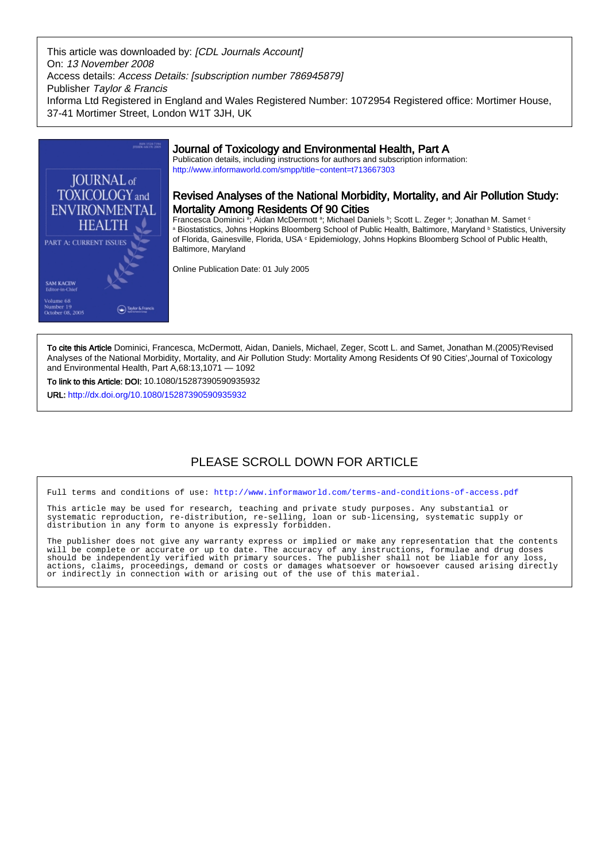This article was downloaded by: [CDL Journals Account] On: 13 November 2008 Access details: Access Details: [subscription number 786945879] Publisher Taylor & Francis Informa Ltd Registered in England and Wales Registered Number: 1072954 Registered office: Mortimer House, 37-41 Mortimer Street, London W1T 3JH, UK



# Journal of Toxicology and Environmental Health, Part A

Publication details, including instructions for authors and subscription information: <http://www.informaworld.com/smpp/title~content=t713667303>

# Revised Analyses of the National Morbidity, Mortality, and Air Pollution Study: Mortality Among Residents Of 90 Cities

Francesca Dominici ª; Aidan McDermott ª; Michael Daniels <sup>b</sup>; Scott L. Zeger ª; Jonathan M. Samet ° <sup>a</sup> Biostatistics, Johns Hopkins Bloomberg School of Public Health, Baltimore, Maryland <sup>b</sup> Statistics, University of Florida, Gainesville, Florida, USA  $^{\circ}$  Epidemiology, Johns Hopkins Bloomberg School of Public Health, Baltimore, Maryland

Online Publication Date: 01 July 2005

To cite this Article Dominici, Francesca, McDermott, Aidan, Daniels, Michael, Zeger, Scott L. and Samet, Jonathan M.(2005)'Revised Analyses of the National Morbidity, Mortality, and Air Pollution Study: Mortality Among Residents Of 90 Cities',Journal of Toxicology and Environmental Health, Part A,68:13,1071 — 1092

To link to this Article: DOI: 10.1080/15287390590935932

URL: <http://dx.doi.org/10.1080/15287390590935932>

# PLEASE SCROLL DOWN FOR ARTICLE

Full terms and conditions of use:<http://www.informaworld.com/terms-and-conditions-of-access.pdf>

This article may be used for research, teaching and private study purposes. Any substantial or systematic reproduction, re-distribution, re-selling, loan or sub-licensing, systematic supply or distribution in any form to anyone is expressly forbidden.

The publisher does not give any warranty express or implied or make any representation that the contents will be complete or accurate or up to date. The accuracy of any instructions, formulae and drug doses should be independently verified with primary sources. The publisher shall not be liable for any loss, actions, claims, proceedings, demand or costs or damages whatsoever or howsoever caused arising directly or indirectly in connection with or arising out of the use of this material.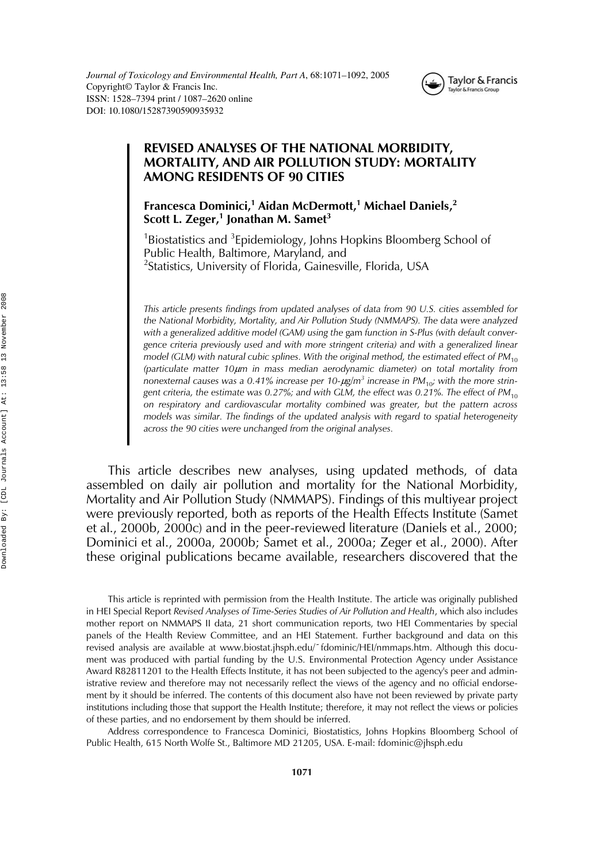

# **REVISED ANALYSES OF THE NATIONAL MORBIDITY, MORTALITY, AND AIR POLLUTION STUDY: MORTALITY AMONG RESIDENTS OF 90 CITIES**

**Francesca Dominici,<sup>1</sup> Aidan McDermott,1 Michael Daniels,<sup>2</sup> Scott L. Zeger,<sup>1</sup> Jonathan M. Samet<sup>3</sup>**

<sup>1</sup>Biostatistics and <sup>3</sup>Epidemiology, Johns Hopkins Bloomberg School of Public Health, Baltimore, Maryland, and <sup>2</sup>Statistics, University of Florida, Gainesville, Florida, USA

*This article presents findings from updated analyses of data from 90 U.S. cities assembled for the National Morbidity, Mortality, and Air Pollution Study (NMMAPS). The data were analyzed* with a generalized additive model (GAM) using the gam *function* in S-Plus (with default conver*gence criteria previously used and with more stringent criteria) and with a generalized linear model (GLM) with natural cubic splines. With the original method, the estimated effect of PM*<sub>10</sub> *(particulate matter 10*µ*m in mass median aerodynamic diameter) on total mortality from nonexternal causes was a 0.41% increase per 10-*µ*g/m<sup>3</sup> increase in PM*10*; with the more stringent criteria, the estimate was 0.27%; and with GLM, the effect was 0.21%. The effect of PM*<sub>10</sub> *on respiratory and cardiovascular mortality combined was greater, but the pattern across models was similar. The findings of the updated analysis with regard to spatial heterogeneity across the 90 cities were unchanged from the original analyses.*

This article describes new analyses, using updated methods, of data assembled on daily air pollution and mortality for the National Morbidity, Mortality and Air Pollution Study (NMMAPS). Findings of this multiyear project were previously reported, both as reports of the Health Effects Institute (Samet et al., 2000b, 2000c) and in the peer-reviewed literature (Daniels et al., 2000; Dominici et al., 2000a, 2000b; Samet et al., 2000a; Zeger et al., 2000). After these original publications became available, researchers discovered that the

This article is reprinted with permission from the Health Institute. The article was originally published in HEI Special Report *Revised Analyses of Time-Series Studies of Air Pollution and Health*, which also includes mother report on NMMAPS II data, 21 short communication reports, two HEI Commentaries by special panels of the Health Review Committee, and an HEI Statement. Further background and data on this revised analysis are available at www.biostat.jhsph.edu/~fdominic/HEI/nmmaps.htm. Although this document was produced with partial funding by the U.S. Environmental Protection Agency under Assistance Award R82811201 to the Health Effects Institute, it has not been subjected to the agency's peer and administrative review and therefore may not necessarily reflect the views of the agency and no official endorsement by it should be inferred. The contents of this document also have not been reviewed by private party institutions including those that support the Health Institute; therefore, it may not reflect the views or policies of these parties, and no endorsement by them should be inferred.

Address correspondence to Francesca Dominici, Biostatistics, Johns Hopkins Bloomberg School of Public Health, 615 North Wolfe St., Baltimore MD 21205, USA. E-mail: fdominic@jhsph.edu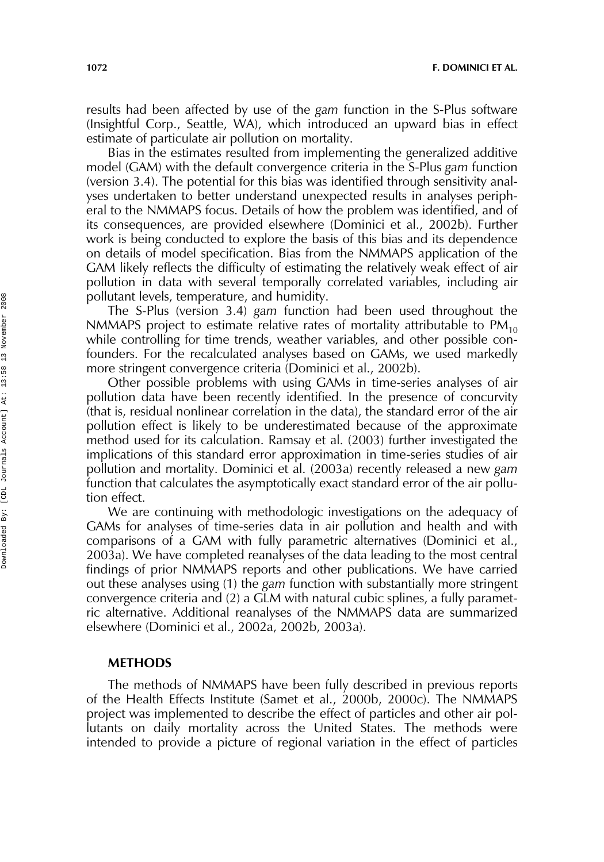**1072 F. DOMINICI ET AL.**

results had been affected by use of the *gam* function in the S-Plus software (Insightful Corp., Seattle, WA), which introduced an upward bias in effect estimate of particulate air pollution on mortality.

Bias in the estimates resulted from implementing the generalized additive model (GAM) with the default convergence criteria in the S-Plus *gam* function (version 3.4). The potential for this bias was identified through sensitivity analyses undertaken to better understand unexpected results in analyses peripheral to the NMMAPS focus. Details of how the problem was identified, and of its consequences, are provided elsewhere (Dominici et al., 2002b). Further work is being conducted to explore the basis of this bias and its dependence on details of model specification. Bias from the NMMAPS application of the GAM likely reflects the difficulty of estimating the relatively weak effect of air pollution in data with several temporally correlated variables, including air pollutant levels, temperature, and humidity.

The S-Plus (version 3.4) *gam* function had been used throughout the NMMAPS project to estimate relative rates of mortality attributable to  $PM_{10}$ while controlling for time trends, weather variables, and other possible confounders. For the recalculated analyses based on GAMs, we used markedly more stringent convergence criteria (Dominici et al., 2002b).

Other possible problems with using GAMs in time-series analyses of air pollution data have been recently identified. In the presence of concurvity (that is, residual nonlinear correlation in the data), the standard error of the air pollution effect is likely to be underestimated because of the approximate method used for its calculation. Ramsay et al. (2003) further investigated the implications of this standard error approximation in time-series studies of air pollution and mortality. Dominici et al. (2003a) recently released a new *gam* function that calculates the asymptotically exact standard error of the air pollution effect.

We are continuing with methodologic investigations on the adequacy of GAMs for analyses of time-series data in air pollution and health and with comparisons of a GAM with fully parametric alternatives (Dominici et al., 2003a). We have completed reanalyses of the data leading to the most central findings of prior NMMAPS reports and other publications. We have carried out these analyses using (1) the *gam* function with substantially more stringent convergence criteria and (2) a GLM with natural cubic splines, a fully parametric alternative. Additional reanalyses of the NMMAPS data are summarized elsewhere (Dominici et al., 2002a, 2002b, 2003a).

## **METHODS**

The methods of NMMAPS have been fully described in previous reports of the Health Effects Institute (Samet et al., 2000b, 2000c). The NMMAPS project was implemented to describe the effect of particles and other air pollutants on daily mortality across the United States. The methods were intended to provide a picture of regional variation in the effect of particles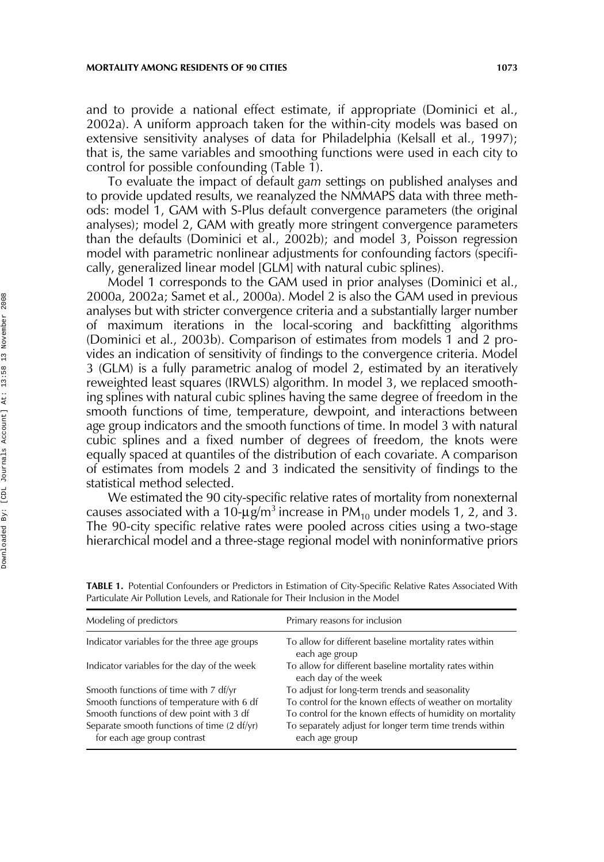#### **MORTALITY AMONG RESIDENTS OF 90 CITIES** 1073

and to provide a national effect estimate, if appropriate (Dominici et al., 2002a). A uniform approach taken for the within-city models was based on extensive sensitivity analyses of data for Philadelphia (Kelsall et al., 1997); that is, the same variables and smoothing functions were used in each city to control for possible confounding (Table 1).

To evaluate the impact of default *gam* settings on published analyses and to provide updated results, we reanalyzed the NMMAPS data with three methods: model 1, GAM with S-Plus default convergence parameters (the original analyses); model 2, GAM with greatly more stringent convergence parameters than the defaults (Dominici et al., 2002b); and model 3, Poisson regression model with parametric nonlinear adjustments for confounding factors (specifically, generalized linear model [GLM] with natural cubic splines).

Model 1 corresponds to the GAM used in prior analyses (Dominici et al., 2000a, 2002a; Samet et al., 2000a). Model 2 is also the GAM used in previous analyses but with stricter convergence criteria and a substantially larger number of maximum iterations in the local-scoring and backfitting algorithms (Dominici et al., 2003b). Comparison of estimates from models 1 and 2 provides an indication of sensitivity of findings to the convergence criteria. Model 3 (GLM) is a fully parametric analog of model 2, estimated by an iteratively reweighted least squares (IRWLS) algorithm. In model 3, we replaced smoothing splines with natural cubic splines having the same degree of freedom in the smooth functions of time, temperature, dewpoint, and interactions between age group indicators and the smooth functions of time. In model 3 with natural cubic splines and a fixed number of degrees of freedom, the knots were equally spaced at quantiles of the distribution of each covariate. A comparison of estimates from models 2 and 3 indicated the sensitivity of findings to the statistical method selected.

We estimated the 90 city-specific relative rates of mortality from nonexternal causes associated with a 10- $\mu$ g/m<sup>3</sup> increase in PM<sub>10</sub> under models 1, 2, and 3. The 90-city specific relative rates were pooled across cities using a two-stage hierarchical model and a three-stage regional model with noninformative priors

| Modeling of predictors                                                     | Primary reasons for inclusion                                                  |
|----------------------------------------------------------------------------|--------------------------------------------------------------------------------|
| Indicator variables for the three age groups                               | To allow for different baseline mortality rates within<br>each age group       |
| Indicator variables for the day of the week                                | To allow for different baseline mortality rates within<br>each day of the week |
| Smooth functions of time with 7 df/yr                                      | To adjust for long-term trends and seasonality                                 |
| Smooth functions of temperature with 6 df                                  | To control for the known effects of weather on mortality                       |
| Smooth functions of dew point with 3 df                                    | To control for the known effects of humidity on mortality                      |
| Separate smooth functions of time (2 df/yr)<br>for each age group contrast | To separately adjust for longer term time trends within<br>each age group      |

**TABLE 1.** Potential Confounders or Predictors in Estimation of City-Specific Relative Rates Associated With Particulate Air Pollution Levels, and Rationale for Their Inclusion in the Model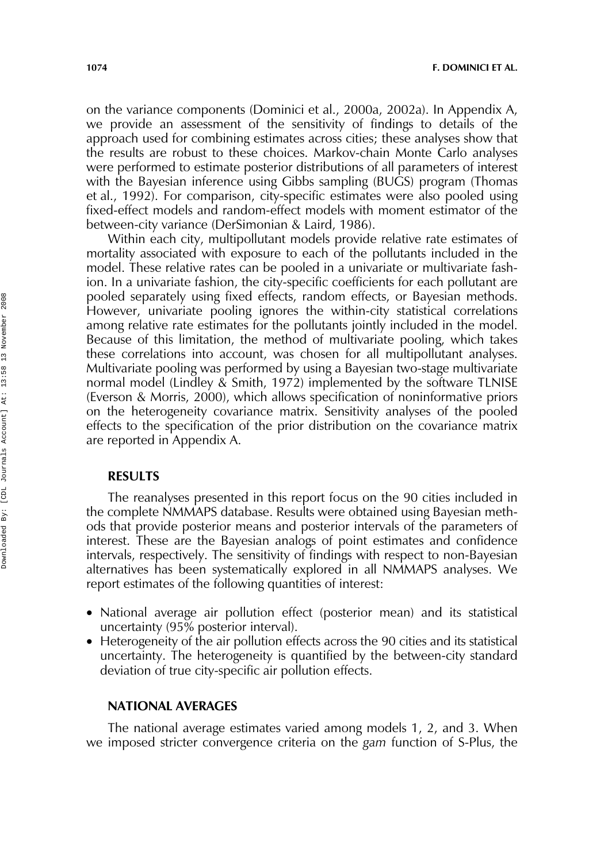**1074 F. DOMINICI ET AL.**

on the variance components (Dominici et al., 2000a, 2002a). In Appendix A, we provide an assessment of the sensitivity of findings to details of the approach used for combining estimates across cities; these analyses show that the results are robust to these choices. Markov-chain Monte Carlo analyses were performed to estimate posterior distributions of all parameters of interest with the Bayesian inference using Gibbs sampling (BUGS) program (Thomas et al., 1992). For comparison, city-specific estimates were also pooled using fixed-effect models and random-effect models with moment estimator of the between-city variance (DerSimonian & Laird, 1986).

Within each city, multipollutant models provide relative rate estimates of mortality associated with exposure to each of the pollutants included in the model. These relative rates can be pooled in a univariate or multivariate fashion. In a univariate fashion, the city-specific coefficients for each pollutant are pooled separately using fixed effects, random effects, or Bayesian methods. However, univariate pooling ignores the within-city statistical correlations among relative rate estimates for the pollutants jointly included in the model. Because of this limitation, the method of multivariate pooling, which takes these correlations into account, was chosen for all multipollutant analyses. Multivariate pooling was performed by using a Bayesian two-stage multivariate normal model (Lindley & Smith, 1972) implemented by the software TLNISE (Everson & Morris, 2000), which allows specification of noninformative priors on the heterogeneity covariance matrix. Sensitivity analyses of the pooled effects to the specification of the prior distribution on the covariance matrix are reported in Appendix A.

## **RESULTS**

The reanalyses presented in this report focus on the 90 cities included in the complete NMMAPS database. Results were obtained using Bayesian methods that provide posterior means and posterior intervals of the parameters of interest. These are the Bayesian analogs of point estimates and confidence intervals, respectively. The sensitivity of findings with respect to non-Bayesian alternatives has been systematically explored in all NMMAPS analyses. We report estimates of the following quantities of interest:

- National average air pollution effect (posterior mean) and its statistical uncertainty (95% posterior interval).
- Heterogeneity of the air pollution effects across the 90 cities and its statistical uncertainty. The heterogeneity is quantified by the between-city standard deviation of true city-specific air pollution effects.

## **NATIONAL AVERAGES**

The national average estimates varied among models 1, 2, and 3. When we imposed stricter convergence criteria on the *gam* function of S-Plus, the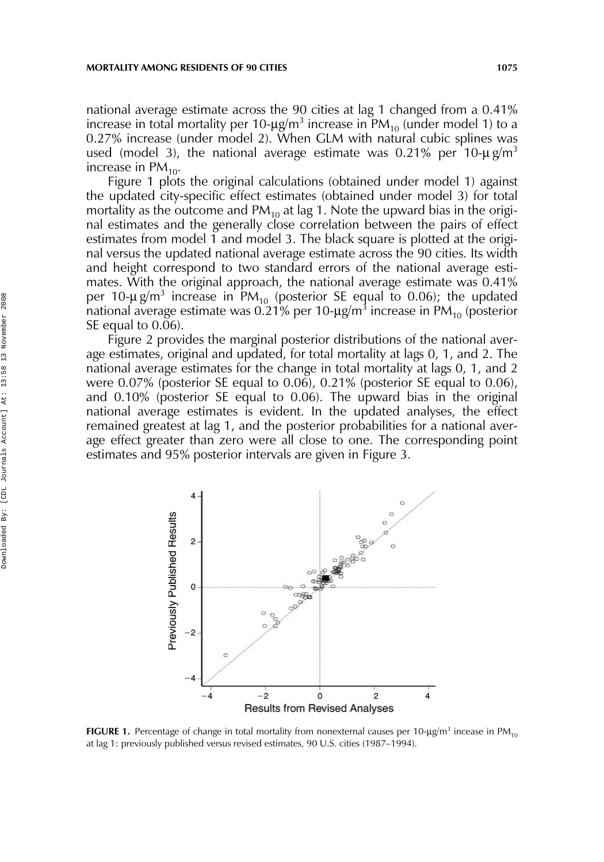national average estimate across the 90 cities at lag 1 changed from a 0.41% increase in total mortality per 10- $\mu$ g/m<sup>3</sup> increase in PM<sub>10</sub> (under model 1) to a 0.27% increase (under model 2). When GLM with natural cubic splines was used (model 3), the national average estimate was 0.21% per 10- $\mu$  g/m<sup>3</sup> increase in  $PM_{10}$ .

Figure 1 plots the original calculations (obtained under model 1) against the updated city-specific effect estimates (obtained under model 3) for total mortality as the outcome and  $PM_{10}$  at lag 1. Note the upward bias in the original estimates and the generally close correlation between the pairs of effect estimates from model 1 and model 3. The black square is plotted at the original versus the updated national average estimate across the 90 cities. Its width and height correspond to two standard errors of the national average estimates. With the original approach, the national average estimate was 0.41% per 10- $\mu$  g/m<sup>3</sup> increase in PM<sub>10</sub> (posterior SE equal to 0.06); the updated national average estimate was 0.21% per 10- $\mu$ g/m $^3$  increase in PM<sub>10</sub> (posterior SE equal to 0.06).

Figure 2 provides the marginal posterior distributions of the national average estimates, original and updated, for total mortality at lags 0, 1, and 2. The national average estimates for the change in total mortality at lags 0, 1, and 2 were 0.07% (posterior SE equal to 0.06), 0.21% (posterior SE equal to 0.06), and 0.10% (posterior SE equal to 0.06). The upward bias in the original national average estimates is evident. In the updated analyses, the effect remained greatest at lag 1, and the posterior probabilities for a national average effect greater than zero were all close to one. The corresponding point estimates and 95% posterior intervals are given in Figure 3.



**FIGURE 1.** Percentage of change in total mortality from nonexternal causes per 10- $\mu$ g/m $^3$  incease in PM<sub>10</sub> at lag 1: previously published versus revised estimates, 90 U.S. cities (1987–1994).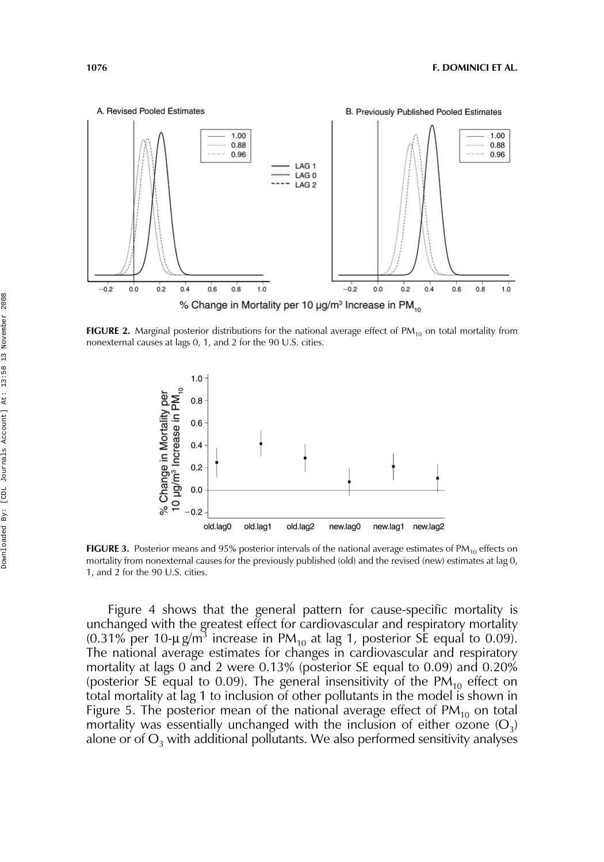

FIGURE 2. Marginal posterior distributions for the national average effect of PM<sub>10</sub> on total mortality from nonexternal causes at lags 0, 1, and 2 for the 90 U.S. cities.



**FIGURE 3.** Posterior means and 95% posterior intervals of the national average estimates of  $PM_{10}$  effects on mortality from nonexternal causes for the previously published (old) and the revised (new) estimates at lag 0, 1, and 2 for the 90 U.S. cities.

Figure 4 shows that the general pattern for cause-specific mortality is unchanged with the greatest effect for cardiovascular and respiratory mortality (0.31% per 10- $\mu$  g/m<sup>3</sup> increase in PM<sub>10</sub> at lag 1, posterior SE equal to 0.09). The national average estimates for changes in cardiovascular and respiratory mortality at lags 0 and 2 were 0.13% (posterior SE equal to 0.09) and 0.20% (posterior SE equal to 0.09). The general insensitivity of the  $PM_{10}$  effect on total mortality at lag 1 to inclusion of other pollutants in the model is shown in Figure 5. The posterior mean of the national average effect of  $PM_{10}$  on total mortality was essentially unchanged with the inclusion of either ozone  $(O_3)$ alone or of  $O_3$  with additional pollutants. We also performed sensitivity analyses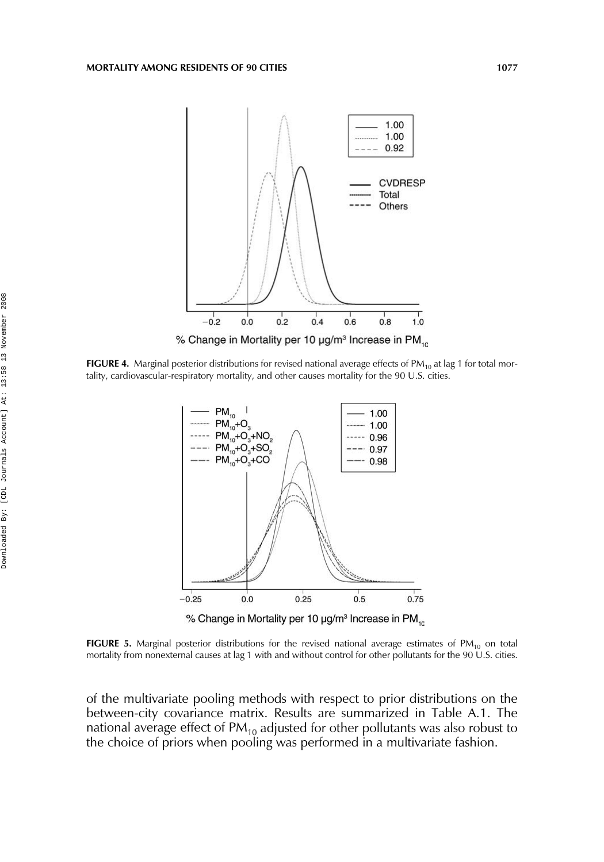

**FIGURE 4.** Marginal posterior distributions for revised national average effects of PM<sub>10</sub> at lag 1 for total mortality, cardiovascular-respiratory mortality, and other causes mortality for the 90 U.S. cities.



FIGURE 5. Marginal posterior distributions for the revised national average estimates of PM<sub>10</sub> on total mortality from nonexternal causes at lag 1 with and without control for other pollutants for the 90 U.S. cities.

of the multivariate pooling methods with respect to prior distributions on the between-city covariance matrix. Results are summarized in Table A.1. The national average effect of PM<sub>10</sub> adjusted for other pollutants was also robust to the choice of priors when pooling was performed in a multivariate fashion.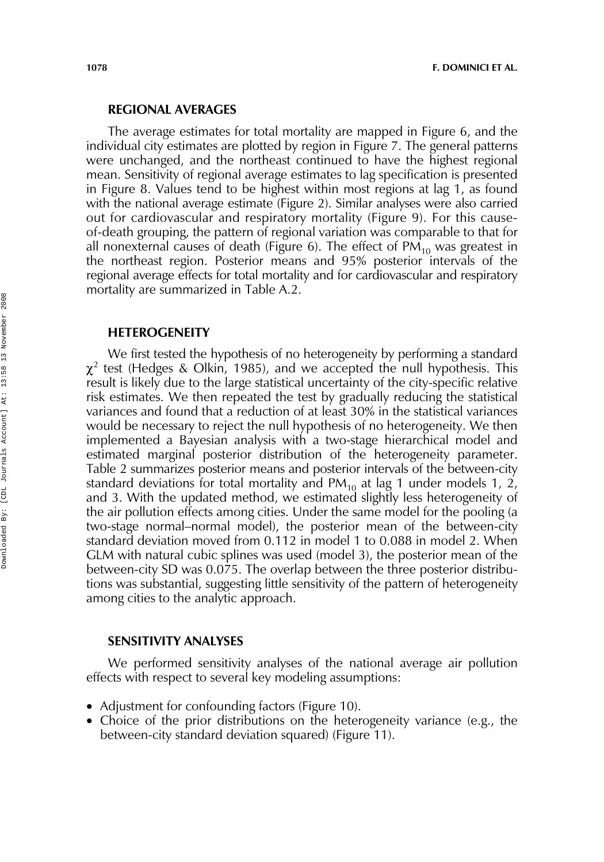## **REGIONAL AVERAGES**

The average estimates for total mortality are mapped in Figure 6, and the individual city estimates are plotted by region in Figure 7. The general patterns were unchanged, and the northeast continued to have the highest regional mean. Sensitivity of regional average estimates to lag specification is presented in Figure 8. Values tend to be highest within most regions at lag 1, as found with the national average estimate (Figure 2). Similar analyses were also carried out for cardiovascular and respiratory mortality (Figure 9). For this causeof-death grouping, the pattern of regional variation was comparable to that for all nonexternal causes of death (Figure 6). The effect of  $PM_{10}$  was greatest in the northeast region. Posterior means and 95% posterior intervals of the regional average effects for total mortality and for cardiovascular and respiratory mortality are summarized in Table A.2.

#### **HETEROGENEITY**

We first tested the hypothesis of no heterogeneity by performing a standard  $\chi^2$  test (Hedges & Olkin, 1985), and we accepted the null hypothesis. This result is likely due to the large statistical uncertainty of the city-specific relative risk estimates. We then repeated the test by gradually reducing the statistical variances and found that a reduction of at least 30% in the statistical variances would be necessary to reject the null hypothesis of no heterogeneity. We then implemented a Bayesian analysis with a two-stage hierarchical model and estimated marginal posterior distribution of the heterogeneity parameter. Table 2 summarizes posterior means and posterior intervals of the between-city standard deviations for total mortality and  $PM_{10}$  at lag 1 under models 1, 2, and 3. With the updated method, we estimated slightly less heterogeneity of the air pollution effects among cities. Under the same model for the pooling (a two-stage normal–normal model), the posterior mean of the between-city standard deviation moved from 0.112 in model 1 to 0.088 in model 2. When GLM with natural cubic splines was used (model 3), the posterior mean of the between-city SD was 0.075. The overlap between the three posterior distributions was substantial, suggesting little sensitivity of the pattern of heterogeneity among cities to the analytic approach.

### **SENSITIVITY ANALYSES**

We performed sensitivity analyses of the national average air pollution effects with respect to several key modeling assumptions:

- Adjustment for confounding factors (Figure 10).
- Choice of the prior distributions on the heterogeneity variance (e.g., the between-city standard deviation squared) (Figure 11).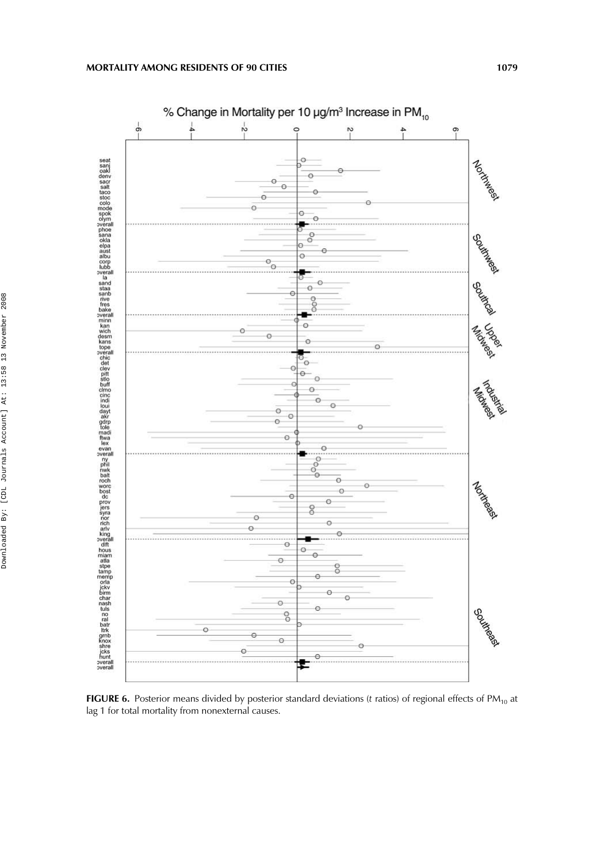

FIGURE 6. Posterior means divided by posterior standard deviations (*t* ratios) of regional effects of PM<sub>10</sub> at lag 1 for total mortality from nonexternal causes.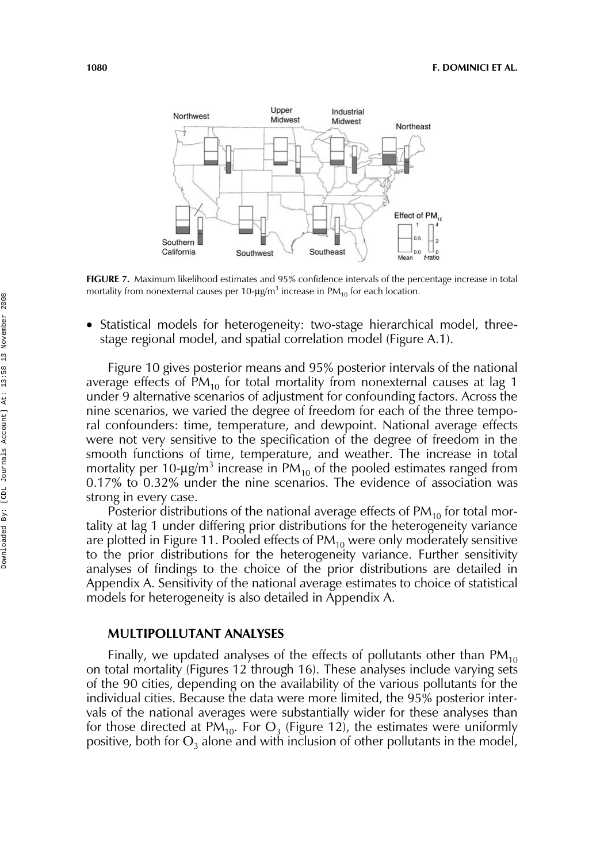

**FIGURE 7.** Maximum likelihood estimates and 95% confidence intervals of the percentage increase in total mortality from nonexternal causes per 10- $\mu$ g/m $^3$  increase in PM $_{10}$  for each location.

• Statistical models for heterogeneity: two-stage hierarchical model, threestage regional model, and spatial correlation model (Figure A.1).

Figure 10 gives posterior means and 95% posterior intervals of the national average effects of  $PM_{10}$  for total mortality from nonexternal causes at lag 1 under 9 alternative scenarios of adjustment for confounding factors. Across the nine scenarios, we varied the degree of freedom for each of the three temporal confounders: time, temperature, and dewpoint. National average effects were not very sensitive to the specification of the degree of freedom in the smooth functions of time, temperature, and weather. The increase in total mortality per 10- $\mu$ g/m<sup>3</sup> increase in PM<sub>10</sub> of the pooled estimates ranged from 0.17% to 0.32% under the nine scenarios. The evidence of association was strong in every case.

Posterior distributions of the national average effects of  $PM_{10}$  for total mortality at lag 1 under differing prior distributions for the heterogeneity variance are plotted in Figure 11. Pooled effects of  $PM_{10}$  were only moderately sensitive to the prior distributions for the heterogeneity variance. Further sensitivity analyses of findings to the choice of the prior distributions are detailed in Appendix A. Sensitivity of the national average estimates to choice of statistical models for heterogeneity is also detailed in Appendix A.

## **MULTIPOLLUTANT ANALYSES**

Finally, we updated analyses of the effects of pollutants other than  $PM_{10}$ on total mortality (Figures 12 through 16). These analyses include varying sets of the 90 cities, depending on the availability of the various pollutants for the individual cities. Because the data were more limited, the 95% posterior intervals of the national averages were substantially wider for these analyses than for those directed at PM<sub>10</sub>. For  $O_3$  (Figure 12), the estimates were uniformly positive, both for  $O_3$  alone and with inclusion of other pollutants in the model,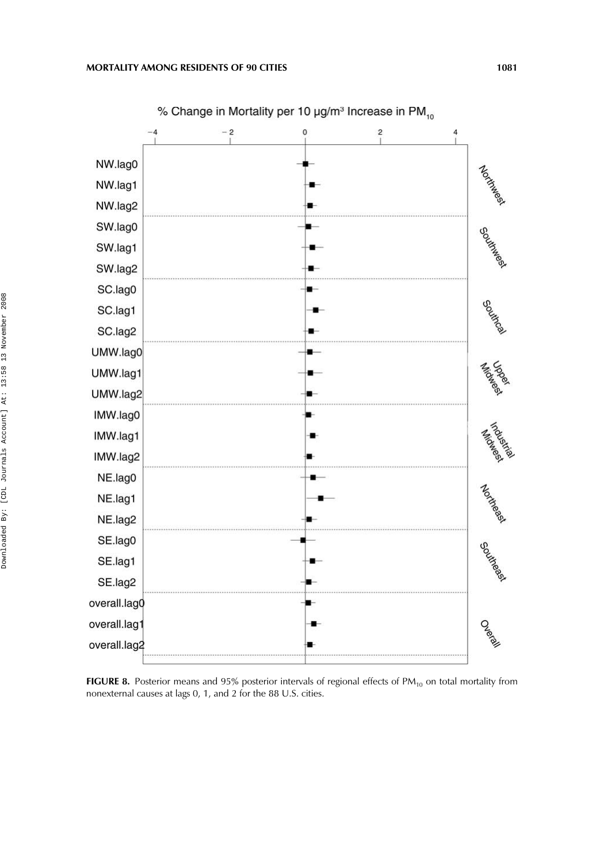

FIGURE 8. Posterior means and 95% posterior intervals of regional effects of PM<sub>10</sub> on total mortality from nonexternal causes at lags 0, 1, and 2 for the 88 U.S. cities.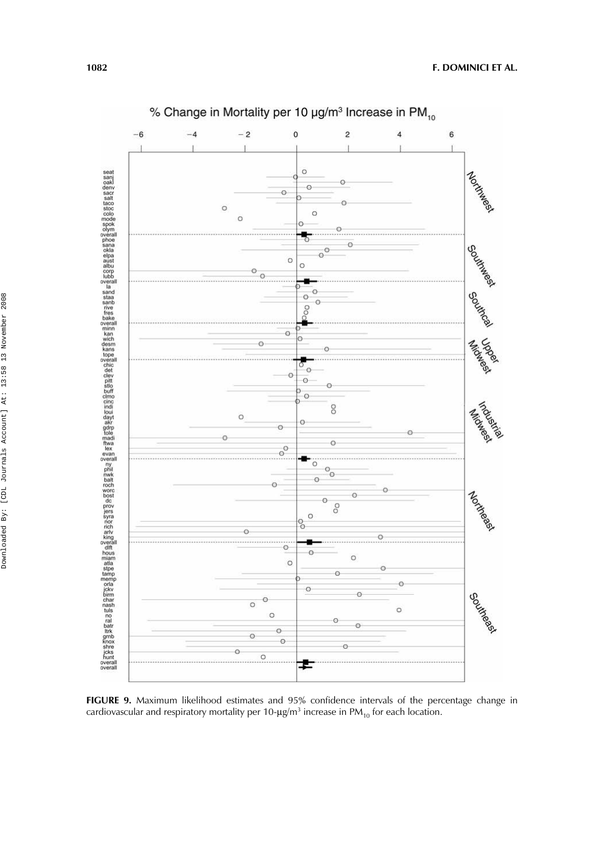

**FIGURE 9.** Maximum likelihood estimates and 95% confidence intervals of the percentage change in cardiovascular and respiratory mortality per 10- $\mu$ g/m $^3$  increase in PM $_{10}$  for each location.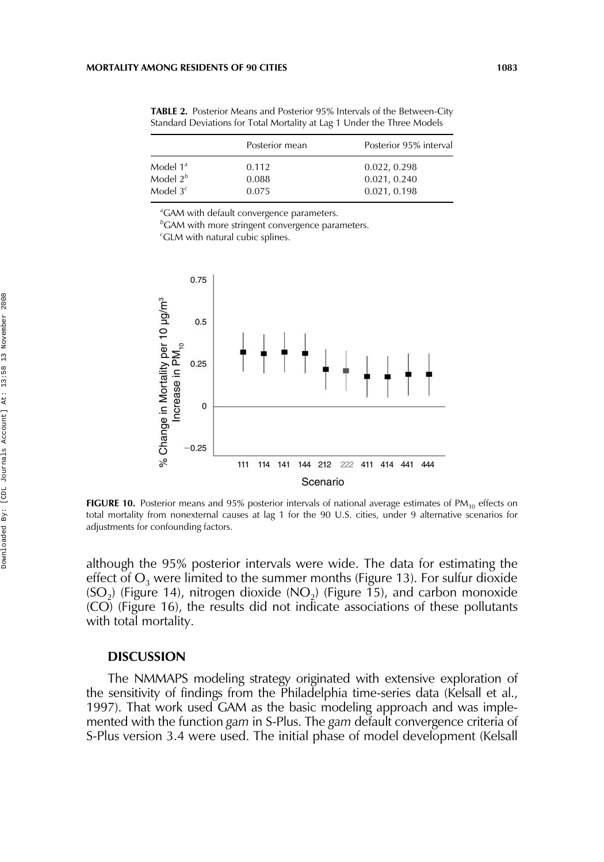**TABLE 2.** Posterior Means and Posterior 95% Intervals of the Between-City Standard Deviations for Total Mortality at Lag 1 Under the Three Models

|             | Posterior mean | Posterior 95% interval |
|-------------|----------------|------------------------|
| Model $1^a$ | 0.112          | 0.022, 0.298           |
| Model $2^b$ | 0.088          | 0.021, 0.240           |
| Model $3c$  | 0.075          | 0.021, 0.198           |

*a* GAM with default convergence parameters.

*b* GAM with more stringent convergence parameters.

*c* GLM with natural cubic splines.



**FIGURE 10.** Posterior means and 95% posterior intervals of national average estimates of PM<sub>10</sub> effects on total mortality from nonexternal causes at lag 1 for the 90 U.S. cities, under 9 alternative scenarios for adjustments for confounding factors.

although the 95% posterior intervals were wide. The data for estimating the effect of  $O_3$  were limited to the summer months (Figure 13). For sulfur dioxide  $(SO<sub>2</sub>)$  (Figure 14), nitrogen dioxide  $(NO<sub>2</sub>)$  (Figure 15), and carbon monoxide (CO) (Figure 16), the results did not indicate associations of these pollutants with total mortality.

#### **DISCUSSION**

The NMMAPS modeling strategy originated with extensive exploration of the sensitivity of findings from the Philadelphia time-series data (Kelsall et al., 1997). That work used GAM as the basic modeling approach and was implemented with the function *gam* in S-Plus. The *gam* default convergence criteria of S-Plus version 3.4 were used. The initial phase of model development (Kelsall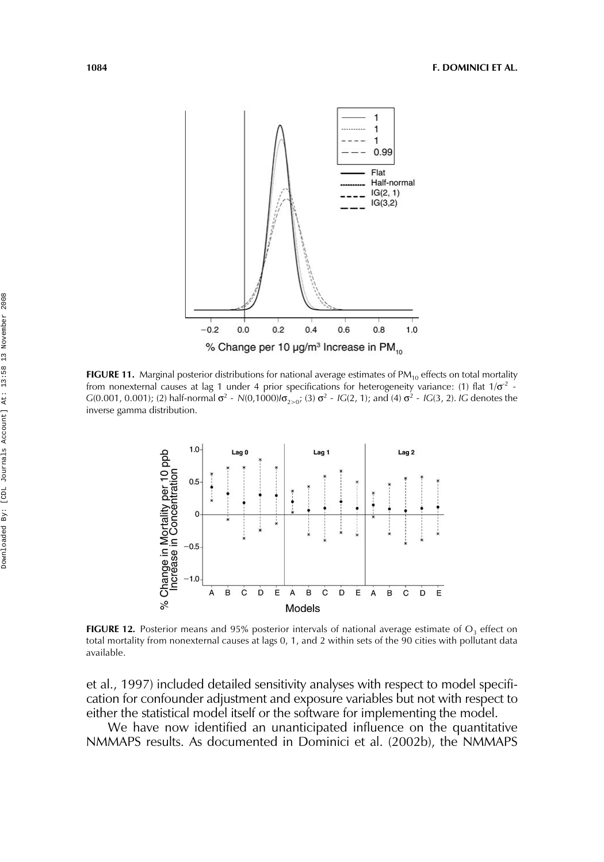

**FIGURE 11.** Marginal posterior distributions for national average estimates of PM<sub>10</sub> effects on total mortality from nonexternal causes at lag 1 under 4 prior specifications for heterogeneity variance: (1) flat  $1/\sigma^2$  -From nonexternal causes at lag 1 under 4 prior specifications for neterogeneity variance: (1) ital 1/0  $\sim$  *G*(0.001, 0.001); (2) half-normal  $\sigma^2 \sim N(0,1000) / \sigma_{2 \ge 0}$ ; (3)  $\sigma^2 \sim I G(2, 1)$ ; and (4)  $\sigma^2 \sim I G(3, 2)$ . inverse gamma distribution.



**FIGURE 12.** Posterior means and 95% posterior intervals of national average estimate of  $O<sub>3</sub>$  effect on total mortality from nonexternal causes at lags 0, 1, and 2 within sets of the 90 cities with pollutant data available.

et al., 1997) included detailed sensitivity analyses with respect to model specification for confounder adjustment and exposure variables but not with respect to either the statistical model itself or the software for implementing the model.

We have now identified an unanticipated influence on the quantitative NMMAPS results. As documented in Dominici et al. (2002b), the NMMAPS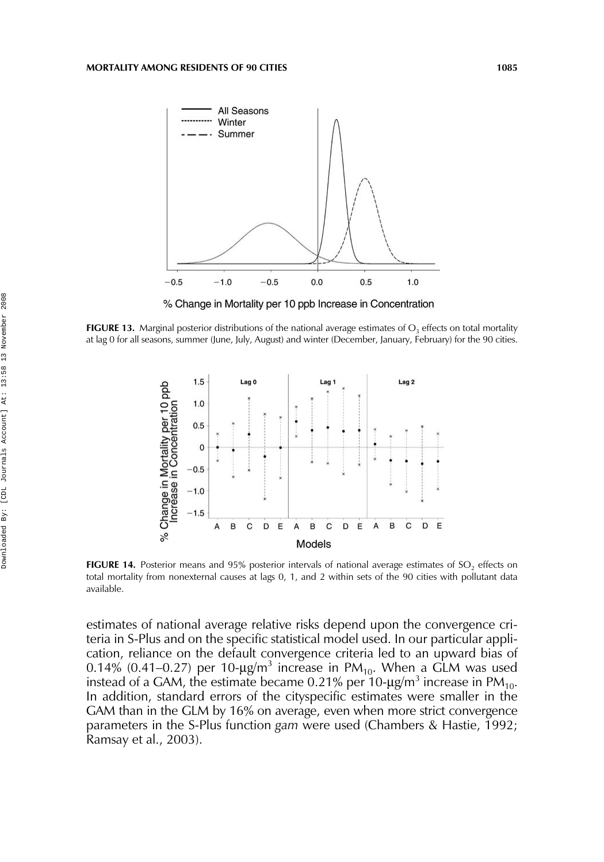

% Change in Mortality per 10 ppb Increase in Concentration

**FIGURE 13.** Marginal posterior distributions of the national average estimates of  $O<sub>3</sub>$  effects on total mortality at lag 0 for all seasons, summer (June, July, August) and winter (December, January, February) for the 90 cities.



FIGURE 14. Posterior means and 95% posterior intervals of national average estimates of SO<sub>2</sub> effects on total mortality from nonexternal causes at lags 0, 1, and 2 within sets of the 90 cities with pollutant data available.

estimates of national average relative risks depend upon the convergence criteria in S-Plus and on the specific statistical model used. In our particular application, reliance on the default convergence criteria led to an upward bias of 0.14% (0.41–0.27) per 10- $\mu$ g/m<sup>3</sup> increase in PM<sub>10</sub>. When a GLM was used instead of a GAM, the estimate became 0.21% per 10- $\mu$ g/m<sup>3</sup> increase in PM<sub>10</sub>. In addition, standard errors of the cityspecific estimates were smaller in the GAM than in the GLM by 16% on average, even when more strict convergence parameters in the S-Plus function *gam* were used (Chambers & Hastie, 1992; Ramsay et al., 2003).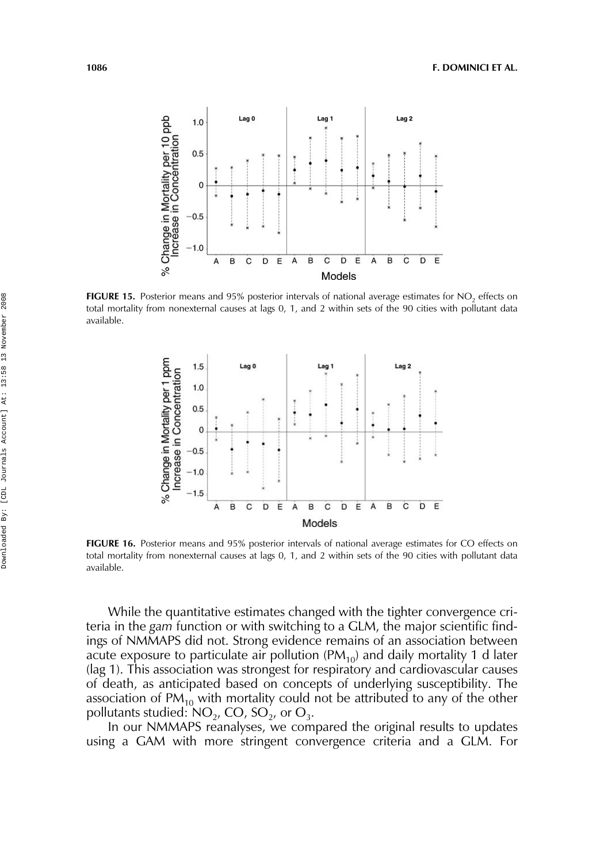

FIGURE 15. Posterior means and 95% posterior intervals of national average estimates for NO<sub>2</sub> effects on total mortality from nonexternal causes at lags 0, 1, and 2 within sets of the 90 cities with pollutant data available.



**FIGURE 16.** Posterior means and 95% posterior intervals of national average estimates for CO effects on total mortality from nonexternal causes at lags 0, 1, and 2 within sets of the 90 cities with pollutant data available.

While the quantitative estimates changed with the tighter convergence criteria in the *gam* function or with switching to a GLM, the major scientific findings of NMMAPS did not. Strong evidence remains of an association between acute exposure to particulate air pollution ( $PM_{10}$ ) and daily mortality 1 d later (lag 1). This association was strongest for respiratory and cardiovascular causes of death, as anticipated based on concepts of underlying susceptibility. The association of  $PM_{10}$  with mortality could not be attributed to any of the other pollutants studied:  $NO_2$ ,  $CO$ ,  $SO_2$ , or  $O_3$ .

In our NMMAPS reanalyses, we compared the original results to updates using a GAM with more stringent convergence criteria and a GLM. For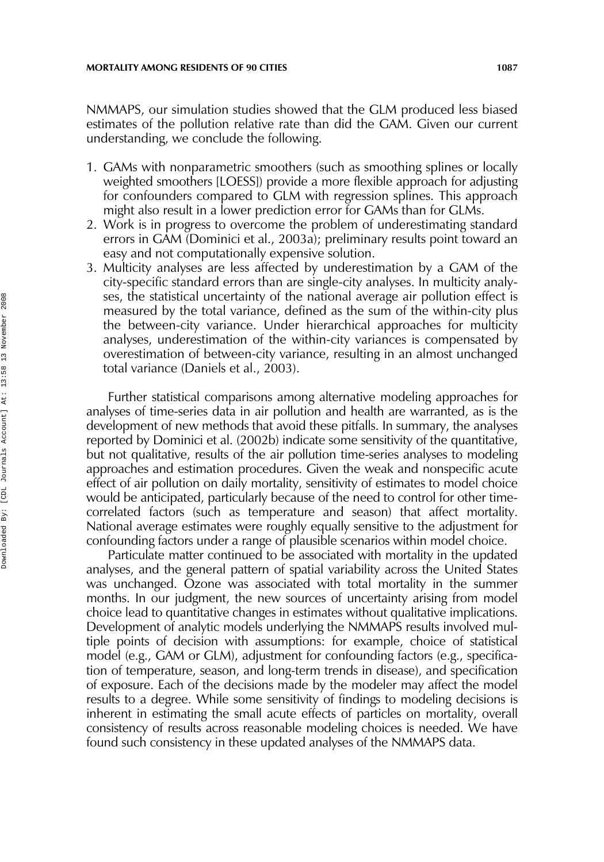NMMAPS, our simulation studies showed that the GLM produced less biased estimates of the pollution relative rate than did the GAM. Given our current understanding, we conclude the following.

- 1. GAMs with nonparametric smoothers (such as smoothing splines or locally weighted smoothers [LOESS]) provide a more flexible approach for adjusting for confounders compared to GLM with regression splines. This approach might also result in a lower prediction error for GAMs than for GLMs.
- 2. Work is in progress to overcome the problem of underestimating standard errors in GAM (Dominici et al., 2003a); preliminary results point toward an easy and not computationally expensive solution.
- 3. Multicity analyses are less affected by underestimation by a GAM of the city-specific standard errors than are single-city analyses. In multicity analyses, the statistical uncertainty of the national average air pollution effect is measured by the total variance, defined as the sum of the within-city plus the between-city variance. Under hierarchical approaches for multicity analyses, underestimation of the within-city variances is compensated by overestimation of between-city variance, resulting in an almost unchanged total variance (Daniels et al., 2003).

Further statistical comparisons among alternative modeling approaches for analyses of time-series data in air pollution and health are warranted, as is the development of new methods that avoid these pitfalls. In summary, the analyses reported by Dominici et al. (2002b) indicate some sensitivity of the quantitative, but not qualitative, results of the air pollution time-series analyses to modeling approaches and estimation procedures. Given the weak and nonspecific acute effect of air pollution on daily mortality, sensitivity of estimates to model choice would be anticipated, particularly because of the need to control for other timecorrelated factors (such as temperature and season) that affect mortality. National average estimates were roughly equally sensitive to the adjustment for confounding factors under a range of plausible scenarios within model choice.

Particulate matter continued to be associated with mortality in the updated analyses, and the general pattern of spatial variability across the United States was unchanged. Ozone was associated with total mortality in the summer months. In our judgment, the new sources of uncertainty arising from model choice lead to quantitative changes in estimates without qualitative implications. Development of analytic models underlying the NMMAPS results involved multiple points of decision with assumptions: for example, choice of statistical model (e.g., GAM or GLM), adjustment for confounding factors (e.g., specification of temperature, season, and long-term trends in disease), and specification of exposure. Each of the decisions made by the modeler may affect the model results to a degree. While some sensitivity of findings to modeling decisions is inherent in estimating the small acute effects of particles on mortality, overall consistency of results across reasonable modeling choices is needed. We have found such consistency in these updated analyses of the NMMAPS data.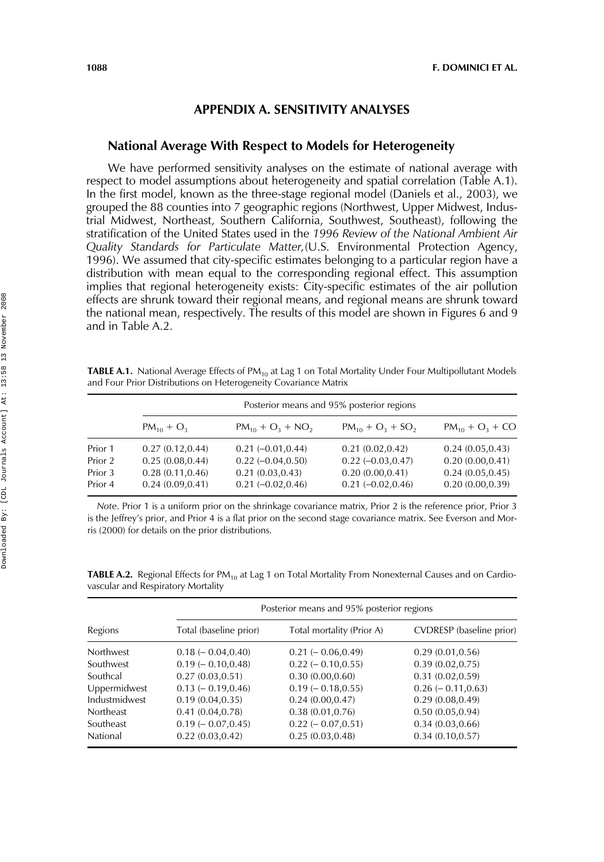## **APPENDIX A. SENSITIVITY ANALYSES**

### **National Average With Respect to Models for Heterogeneity**

We have performed sensitivity analyses on the estimate of national average with respect to model assumptions about heterogeneity and spatial correlation (Table A.1). In the first model, known as the three-stage regional model (Daniels et al., 2003), we grouped the 88 counties into 7 geographic regions (Northwest, Upper Midwest, Industrial Midwest, Northeast, Southern California, Southwest, Southeast), following the stratification of the United States used in the *1996 Review of the National Ambient Air Quality Standards for Particulate Matter,*(U.S. Environmental Protection Agency, 1996). We assumed that city-specific estimates belonging to a particular region have a distribution with mean equal to the corresponding regional effect. This assumption implies that regional heterogeneity exists: City-specific estimates of the air pollution effects are shrunk toward their regional means, and regional means are shrunk toward the national mean, respectively. The results of this model are shown in Figures 6 and 9 and in Table A.2.

**TABLE A.1.** National Average Effects of PM<sub>10</sub> at Lag 1 on Total Mortality Under Four Multipollutant Models and Four Prior Distributions on Heterogeneity Covariance Matrix

|                                          | Posterior means and 95% posterior regions                                    |                                                                                          |                                                                                      |                                                                              |
|------------------------------------------|------------------------------------------------------------------------------|------------------------------------------------------------------------------------------|--------------------------------------------------------------------------------------|------------------------------------------------------------------------------|
|                                          | $PM_{10} + O_3$                                                              | $PM_{10} + O_3 + NO_2$                                                                   | $PM_{10} + O_2 + SO_2$                                                               | $PM_{10} + O_3 + CO$                                                         |
| Prior 1<br>Prior 2<br>Prior 3<br>Prior 4 | 0.27(0.12, 0.44)<br>0.25(0.08, 0.44)<br>0.28(0.11, 0.46)<br>0.24(0.09, 0.41) | $0.21 (-0.01, 0.44)$<br>$0.22 (-0.04, 0.50)$<br>0.21(0.03, 0.43)<br>$0.21 (-0.02, 0.46)$ | 0.21(0.02, 0.42)<br>$0.22 (-0.03, 0.47)$<br>0.20(0.00, 0.41)<br>$0.21 (-0.02, 0.46)$ | 0.24(0.05, 0.43)<br>0.20(0.00, 0.41)<br>0.24(0.05, 0.45)<br>0.20(0.00, 0.39) |

*Note*. Prior 1 is a uniform prior on the shrinkage covariance matrix, Prior 2 is the reference prior, Prior 3 is the Jeffrey's prior, and Prior 4 is a flat prior on the second stage covariance matrix. See Everson and Morris (2000) for details on the prior distributions.

TABLE A.2. Regional Effects for PM<sub>10</sub> at Lag 1 on Total Mortality From Nonexternal Causes and on Cardiovascular and Respiratory Mortality

| Regions       | Posterior means and 95% posterior regions |                           |                          |  |
|---------------|-------------------------------------------|---------------------------|--------------------------|--|
|               | Total (baseline prior)                    | Total mortality (Prior A) | CVDRESP (baseline prior) |  |
| Northwest     | $0.18 (-0.04, 0.40)$                      | $0.21 (-0.06, 0.49)$      | 0.29(0.01, 0.56)         |  |
| Southwest     | $0.19 (-0.10, 0.48)$                      | $0.22$ ( $-0.10, 0.55$ )  | 0.39(0.02, 0.75)         |  |
| Southcal      | 0.27(0.03, 0.51)                          | 0.30(0.00, 0.60)          | 0.31(0.02, 0.59)         |  |
| Uppermidwest  | $0.13 (-0.19, 0.46)$                      | $0.19 (-0.18, 0.55)$      | $0.26 (-0.11, 0.63)$     |  |
| Industmidwest | 0.19(0.04, 0.35)                          | 0.24(0.00, 0.47)          | 0.29(0.08, 0.49)         |  |
| Northeast     | 0.41(0.04, 0.78)                          | 0.38(0.01, 0.76)          | 0.50(0.05, 0.94)         |  |
| Southeast     | $0.19 (-0.07, 0.45)$                      | $0.22 (-0.07, 0.51)$      | 0.34(0.03, 0.66)         |  |
| National      | 0.22(0.03, 0.42)                          | 0.25(0.03, 0.48)          | 0.34(0.10, 0.57)         |  |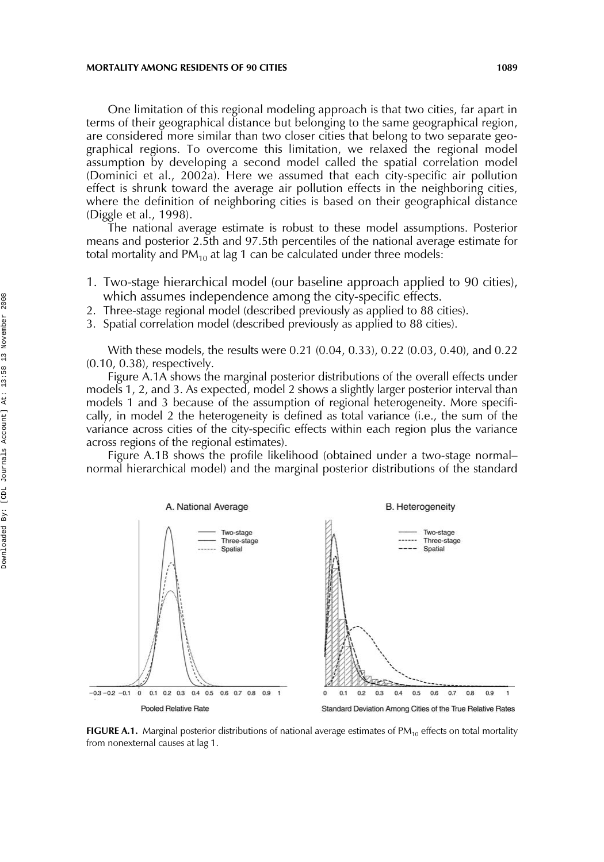#### **MORTALITY AMONG RESIDENTS OF 90 CITIES** 1089

One limitation of this regional modeling approach is that two cities, far apart in terms of their geographical distance but belonging to the same geographical region, are considered more similar than two closer cities that belong to two separate geographical regions. To overcome this limitation, we relaxed the regional model assumption by developing a second model called the spatial correlation model (Dominici et al., 2002a). Here we assumed that each city-specific air pollution effect is shrunk toward the average air pollution effects in the neighboring cities, where the definition of neighboring cities is based on their geographical distance (Diggle et al., 1998).

The national average estimate is robust to these model assumptions. Posterior means and posterior 2.5th and 97.5th percentiles of the national average estimate for total mortality and PM<sub>10</sub> at lag 1 can be calculated under three models:

- 1. Two-stage hierarchical model (our baseline approach applied to 90 cities), which assumes independence among the city-specific effects.
- 2. Three-stage regional model (described previously as applied to 88 cities).
- 3. Spatial correlation model (described previously as applied to 88 cities).

With these models, the results were 0.21 (0.04, 0.33), 0.22 (0.03, 0.40), and 0.22 (0.10, 0.38), respectively.

Figure A.1A shows the marginal posterior distributions of the overall effects under models 1, 2, and 3. As expected, model 2 shows a slightly larger posterior interval than models 1 and 3 because of the assumption of regional heterogeneity. More specifically, in model 2 the heterogeneity is defined as total variance (i.e., the sum of the variance across cities of the city-specific effects within each region plus the variance across regions of the regional estimates).

Figure A.1B shows the profile likelihood (obtained under a two-stage normal– normal hierarchical model) and the marginal posterior distributions of the standard



**FIGURE A.1.** Marginal posterior distributions of national average estimates of PM<sub>10</sub> effects on total mortality from nonexternal causes at lag 1.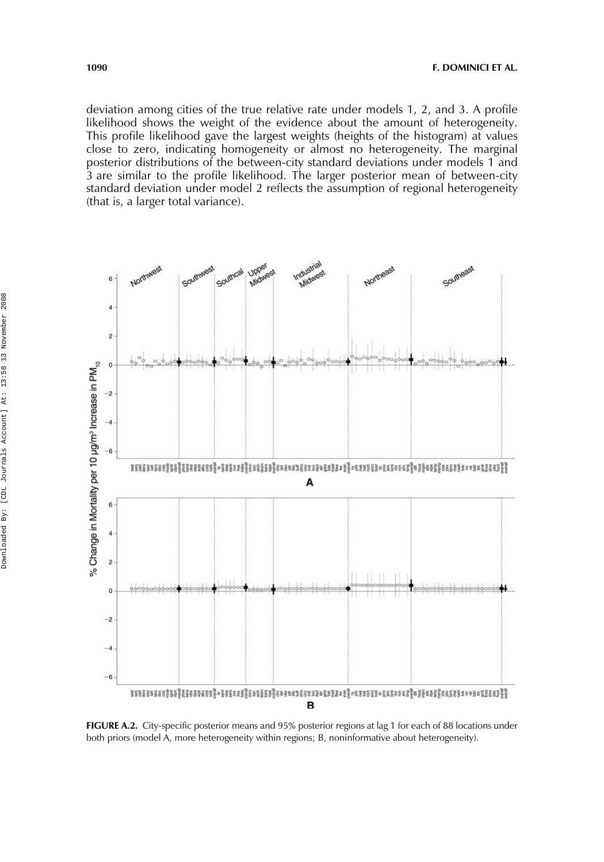deviation among cities of the true relative rate under models 1, 2, and 3. A profile likelihood shows the weight of the evidence about the amount of heterogeneity. This profile likelihood gave the largest weights (heights of the histogram) at values close to zero, indicating homogeneity or almost no heterogeneity. The marginal posterior distributions of the between-city standard deviations under models 1 and 3 are similar to the profile likelihood. The larger posterior mean of between-city standard deviation under model 2 reflects the assumption of regional heterogeneity (that is, a larger total variance).



**FIGURE A.2.** City-specific posterior means and 95% posterior regions at lag 1 for each of 88 locations under both priors (model A, more heterogeneity within regions; B, noninformative about heterogeneity).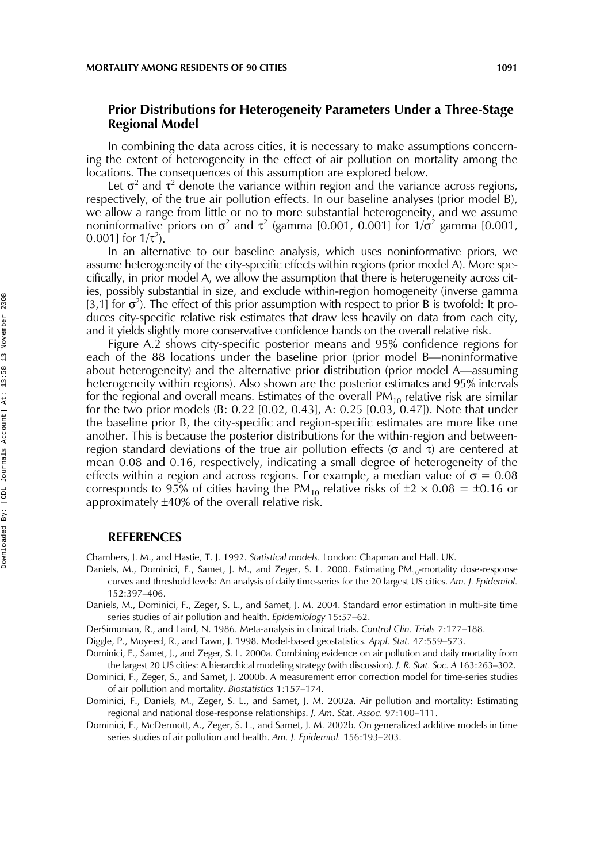## **Prior Distributions for Heterogeneity Parameters Under a Three-Stage Regional Model**

In combining the data across cities, it is necessary to make assumptions concerning the extent of heterogeneity in the effect of air pollution on mortality among the locations. The consequences of this assumption are explored below.

Let  $\sigma^2$  and  $\tau^2$  denote the variance within region and the variance across regions, respectively, of the true air pollution effects. In our baseline analyses (prior model B), we allow a range from little or no to more substantial heterogeneity, and we assume noninformative priors on  $\sigma^2$  and  $\tau^2$  (gamma [0.001, 0.001] for 1/ $\sigma^2$  gamma [0.001,  $0.001$ ] for  $1/\tau^2$ ).

In an alternative to our baseline analysis, which uses noninformative priors, we assume heterogeneity of the city-specific effects within regions (prior model A). More specifically, in prior model A, we allow the assumption that there is heterogeneity across cities, possibly substantial in size, and exclude within-region homogeneity (inverse gamma [3,1] for  $\sigma^2$ ). The effect of this prior assumption with respect to prior B is twofold: It produces city-specific relative risk estimates that draw less heavily on data from each city, and it yields slightly more conservative confidence bands on the overall relative risk.

Figure A.2 shows city-specific posterior means and 95% confidence regions for each of the 88 locations under the baseline prior (prior model B—noninformative about heterogeneity) and the alternative prior distribution (prior model A—assuming heterogeneity within regions). Also shown are the posterior estimates and 95% intervals for the regional and overall means. Estimates of the overall  $PM_{10}$  relative risk are similar for the two prior models (B: 0.22 [0.02, 0.43], A: 0.25 [0.03, 0.47]). Note that under the baseline prior B, the city-specific and region-specific estimates are more like one another. This is because the posterior distributions for the within-region and betweenregion standard deviations of the true air pollution effects (σ and τ) are centered at mean 0.08 and 0.16, respectively, indicating a small degree of heterogeneity of the effects within a region and across regions. For example, a median value of  $\sigma = 0.08$ corresponds to 95% of cities having the PM<sub>10</sub> relative risks of  $\pm 2 \times 0.08 = \pm 0.16$  or approximately ±40% of the overall relative risk.

#### **REFERENCES**

Chambers, J. M., and Hastie, T. J. 1992. *Statistical models.* London: Chapman and Hall. UK.

Daniels, M., Dominici, F., Samet, J. M., and Zeger, S. L. 2000. Estimating PM<sub>10</sub>-mortality dose-response curves and threshold levels: An analysis of daily time-series for the 20 largest US cities. *Am. J. Epidemiol.* 152:397–406.

Daniels, M., Dominici, F., Zeger, S. L., and Samet, J. M. 2004. Standard error estimation in multi-site time series studies of air pollution and health. *Epidemiology* 15:57–62.

DerSimonian, R., and Laird, N. 1986. Meta-analysis in clinical trials. *Control Clin. Trials* 7:177–188.

Diggle, P., Moyeed, R., and Tawn, J. 1998. Model-based geostatistics. *Appl. Stat.* 47:559–573.

Dominici, F., Samet, J., and Zeger, S. L. 2000a. Combining evidence on air pollution and daily mortality from the largest 20 US cities: A hierarchical modeling strategy (with discussion). *J. R. Stat. Soc. A* 163:263–302.

Dominici, F., Zeger, S., and Samet, J. 2000b. A measurement error correction model for time-series studies of air pollution and mortality. *Biostatistics* 1:157–174.

Dominici, F., Daniels, M., Zeger, S. L., and Samet, J. M. 2002a. Air pollution and mortality: Estimating regional and national dose-response relationships. *J. Am. Stat. Assoc.* 97:100–111.

Dominici, F., McDermott, A., Zeger, S. L., and Samet, J. M. 2002b. On generalized additive models in time series studies of air pollution and health. *Am. J. Epidemiol.* 156:193–203.